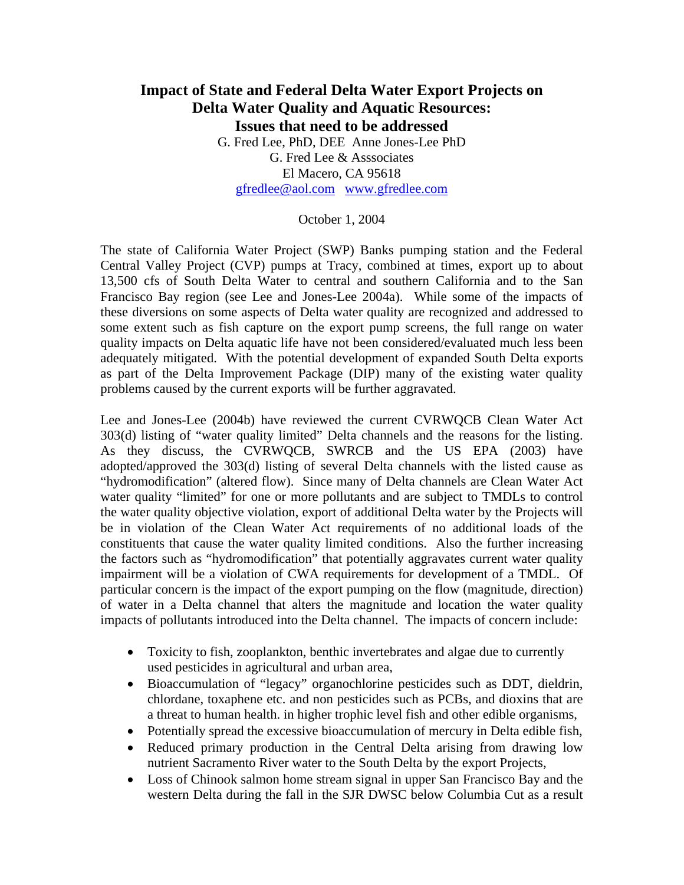## **Impact of State and Federal Delta Water Export Projects on Delta Water Quality and Aquatic Resources: Issues that need to be addressed**  G. Fred Lee, PhD, DEE Anne Jones-Lee PhD G. Fred Lee & Asssociates El Macero, CA 95618

[gfredlee@aol.com](mailto:gfredlee@aol.com) [www.gfredlee.com](http://www.gfredlee.com/)

## October 1, 2004

The state of California Water Project (SWP) Banks pumping station and the Federal Central Valley Project (CVP) pumps at Tracy, combined at times, export up to about 13,500 cfs of South Delta Water to central and southern California and to the San Francisco Bay region (see Lee and Jones-Lee 2004a). While some of the impacts of these diversions on some aspects of Delta water quality are recognized and addressed to some extent such as fish capture on the export pump screens, the full range on water quality impacts on Delta aquatic life have not been considered/evaluated much less been adequately mitigated. With the potential development of expanded South Delta exports as part of the Delta Improvement Package (DIP) many of the existing water quality problems caused by the current exports will be further aggravated.

Lee and Jones-Lee (2004b) have reviewed the current CVRWQCB Clean Water Act 303(d) listing of "water quality limited" Delta channels and the reasons for the listing. As they discuss, the CVRWQCB, SWRCB and the US EPA (2003) have adopted/approved the 303(d) listing of several Delta channels with the listed cause as "hydromodification" (altered flow). Since many of Delta channels are Clean Water Act water quality "limited" for one or more pollutants and are subject to TMDLs to control the water quality objective violation, export of additional Delta water by the Projects will be in violation of the Clean Water Act requirements of no additional loads of the constituents that cause the water quality limited conditions. Also the further increasing the factors such as "hydromodification" that potentially aggravates current water quality impairment will be a violation of CWA requirements for development of a TMDL. Of particular concern is the impact of the export pumping on the flow (magnitude, direction) of water in a Delta channel that alters the magnitude and location the water quality impacts of pollutants introduced into the Delta channel. The impacts of concern include:

- Toxicity to fish, zooplankton, benthic invertebrates and algae due to currently used pesticides in agricultural and urban area,
- Bioaccumulation of "legacy" organochlorine pesticides such as DDT, dieldrin, chlordane, toxaphene etc. and non pesticides such as PCBs, and dioxins that are a threat to human health. in higher trophic level fish and other edible organisms,
- Potentially spread the excessive bioaccumulation of mercury in Delta edible fish,
- Reduced primary production in the Central Delta arising from drawing low nutrient Sacramento River water to the South Delta by the export Projects,
- Loss of Chinook salmon home stream signal in upper San Francisco Bay and the western Delta during the fall in the SJR DWSC below Columbia Cut as a result